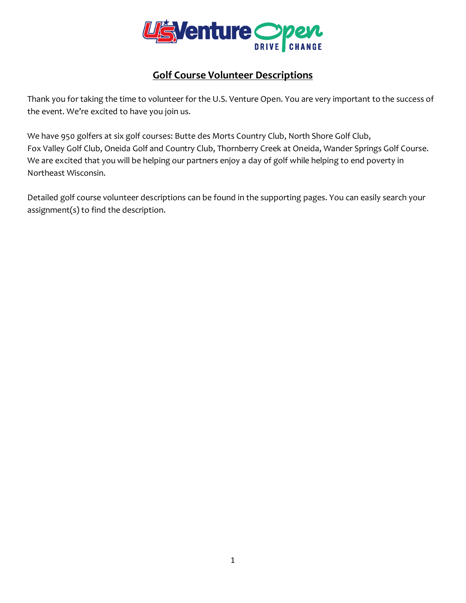

## **Golf Course Volunteer Descriptions**

Thank you for taking the time to volunteer for the U.S. Venture Open. You are very important to the success of the event. We're excited to have you join us.

We have 950 golfers at six golf courses: Butte des Morts Country Club, North Shore Golf Club, Fox Valley Golf Club, Oneida Golf and Country Club, Thornberry Creek at Oneida, Wander Springs Golf Course. We are excited that you will be helping our partners enjoy a day of golf while helping to end poverty in Northeast Wisconsin.

Detailed golf course volunteer descriptions can be found in the supporting pages. You can easily search your assignment(s) to find the description.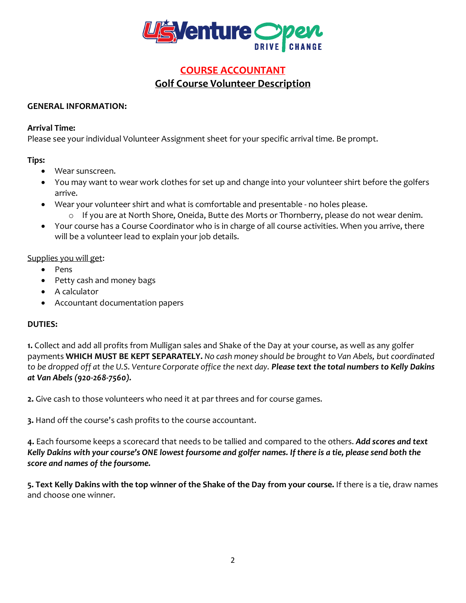

## **COURSE ACCOUNTANT Golf Course Volunteer Description**

#### **GENERAL INFORMATION:**

#### **Arrival Time:**

Please see your individual Volunteer Assignment sheet for your specific arrival time. Be prompt.

### **Tips:**

- Wear sunscreen.
- You may want to wear work clothes for set up and change into your volunteer shirt before the golfers arrive.
- Wear your volunteer shirt and what is comfortable and presentable no holes please.
	- o If you are at North Shore, Oneida, Butte des Morts or Thornberry, please do not wear denim.
- Your course has a Course Coordinator who is in charge of all course activities. When you arrive, there will be a volunteer lead to explain your job details.

### Supplies you will get:

- Pens
- Petty cash and money bags
- A calculator
- Accountant documentation papers

## **DUTIES:**

**1.** Collect and add all profits from Mulligan sales and Shake of the Day at your course, as well as any golfer payments **WHICH MUST BE KEPT SEPARATELY.** *No cash money should be brought to Van Abels, but coordinated to be dropped off at the U.S. Venture Corporate office the next day. Please text the total numbers to Kelly Dakins at Van Abels (920-268-7560).*

**2.** Give cash to those volunteers who need it at par threes and for course games.

**3.** Hand off the course's cash profits to the course accountant.

**4.** Each foursome keeps a scorecard that needs to be tallied and compared to the others. *Add scores and text Kelly Dakins with your course's ONE lowest foursome and golfer names. If there is a tie, please send both the score and names of the foursome.*

**5. Text Kelly Dakins with the top winner of the Shake of the Day from your course.** If there is a tie, draw names and choose one winner.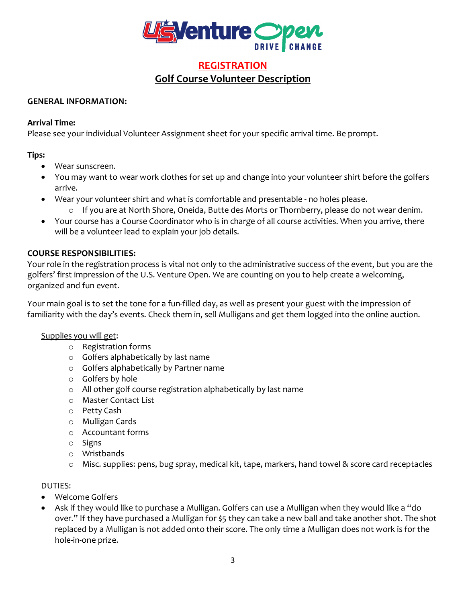

## **REGISTRATION Golf Course Volunteer Description**

#### **GENERAL INFORMATION:**

#### **Arrival Time:**

Please see your individual Volunteer Assignment sheet for your specific arrival time. Be prompt.

#### **Tips:**

- Wear sunscreen.
- You may want to wear work clothes for set up and change into your volunteer shirt before the golfers arrive.
- Wear your volunteer shirt and what is comfortable and presentable no holes please. o If you are at North Shore, Oneida, Butte des Morts or Thornberry, please do not wear denim.
- Your course has a Course Coordinator who is in charge of all course activities. When you arrive, there will be a volunteer lead to explain your job details.

#### **COURSE RESPONSIBILITIES:**

Your role in the registration process is vital not only to the administrative success of the event, but you are the golfers' first impression of the U.S. Venture Open. We are counting on you to help create a welcoming, organized and fun event.

Your main goal is to set the tone for a fun-filled day, as well as present your guest with the impression of familiarity with the day's events. Check them in, sell Mulligans and get them logged into the online auction.

#### Supplies you will get:

- o Registration forms
- o Golfers alphabetically by last name
- o Golfers alphabetically by Partner name
- o Golfers by hole
- o All other golf course registration alphabetically by last name
- o Master Contact List
- o Petty Cash
- o Mulligan Cards
- o Accountant forms
- o Signs
- o Wristbands
- o Misc. supplies: pens, bug spray, medical kit, tape, markers, hand towel & score card receptacles

### DUTIES:

- Welcome Golfers
- Ask if they would like to purchase a Mulligan. Golfers can use a Mulligan when they would like a "do over." If they have purchased a Mulligan for \$5 they can take a new ball and take another shot. The shot replaced by a Mulligan is not added onto their score. The only time a Mulligan does not work is for the hole-in-one prize.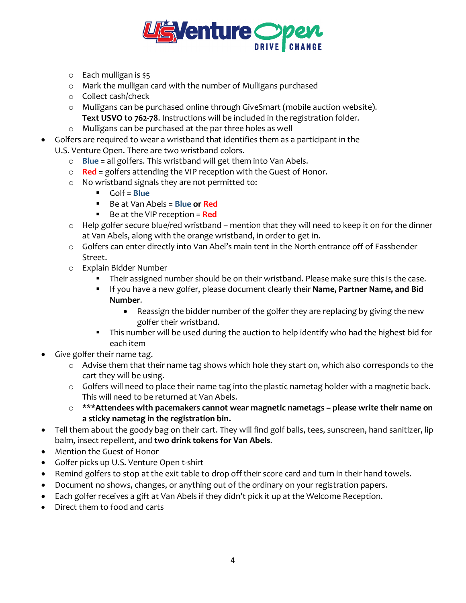

- o Each mulligan is \$5
- o Mark the mulligan card with the number of Mulligans purchased
- o Collect cash/check
- o Mulligans can be purchased online through GiveSmart (mobile auction website). **Text USVO to 762-78**. Instructions will be included in the registration folder.
- o Mulligans can be purchased at the par three holes as well
- Golfers are required to wear a wristband that identifies them as a participant in the U.S. Venture Open. There are two wristband colors.
	- o **Blue** = all golfers. This wristband will get them into Van Abels.
	- o **Red** = golfers attending the VIP reception with the Guest of Honor.
	- o No wristband signals they are not permitted to:
		- Golf = **Blue**
		- Be at Van Abels = **Blue or Red**
		- Be at the VIP reception = **Red**
	- o Help golfer secure blue/red wristband mention that they will need to keep it on for the dinner at Van Abels, along with the orange wristband, in order to get in.
	- o Golfers can enter directly into Van Abel's main tent in the North entrance off of Fassbender Street.
	- o Explain Bidder Number
		- Their assigned number should be on their wristband. Please make sure this is the case.
		- If you have a new golfer, please document clearly their **Name, Partner Name, and Bid Number**.
			- Reassign the bidder number of the golfer they are replacing by giving the new golfer their wristband.
		- **This number will be used during the auction to help identify who had the highest bid for** each item
	- Give golfer their name tag.
		- o Advise them that their name tag shows which hole they start on, which also corresponds to the cart they will be using.
		- o Golfers will need to place their name tag into the plastic nametag holder with a magnetic back. This will need to be returned at Van Abels.
		- o \*\*\***Attendees with pacemakers cannot wear magnetic nametags – please write their name on a sticky nametag in the registration bin.**
- Tell them about the goody bag on their cart. They will find golf balls, tees, sunscreen, hand sanitizer, lip balm, insect repellent, and **two drink tokens for Van Abels**.
- Mention the Guest of Honor
- Golfer picks up U.S. Venture Open t-shirt
- Remind golfers to stop at the exit table to drop off their score card and turn in their hand towels.
- Document no shows, changes, or anything out of the ordinary on your registration papers.
- Each golfer receives a gift at Van Abels if they didn't pick it up at the Welcome Reception.
- Direct them to food and carts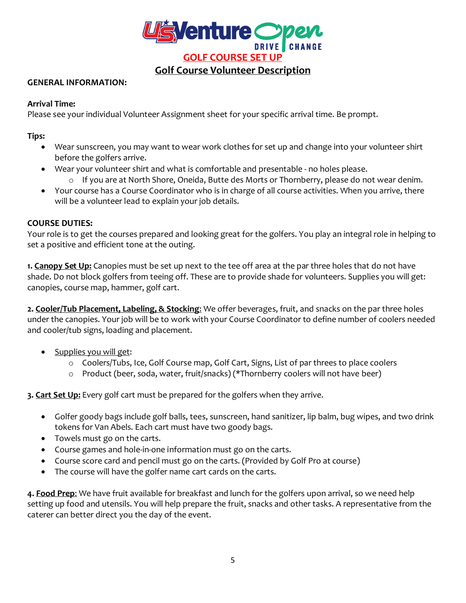

#### **GENERAL INFORMATION:**

#### **Arrival Time:**

Please see your individual Volunteer Assignment sheet for your specific arrival time. Be prompt.

**Tips:** 

- Wear sunscreen, you may want to wear work clothes for set up and change into your volunteer shirt before the golfers arrive.
- Wear your volunteer shirt and what is comfortable and presentable no holes please.
	- o If you are at North Shore, Oneida, Butte des Morts or Thornberry, please do not wear denim.
- Your course has a Course Coordinator who is in charge of all course activities. When you arrive, there will be a volunteer lead to explain your job details.

#### **COURSE DUTIES:**

Your role is to get the courses prepared and looking great for the golfers. You play an integral role in helping to set a positive and efficient tone at the outing.

**1. Canopy Set Up:** Canopies must be set up next to the tee off area at the par three holes that do not have shade. Do not block golfers from teeing off. These are to provide shade for volunteers. Supplies you will get: canopies, course map, hammer, golf cart.

**2. Cooler/Tub Placement, Labeling, & Stocking**: We offer beverages, fruit, and snacks on the par three holes under the canopies. Your job will be to work with your Course Coordinator to define number of coolers needed and cooler/tub signs, loading and placement.

- Supplies you will get:
	- o Coolers/Tubs, Ice, Golf Course map, Golf Cart, Signs, List of par threes to place coolers
	- o Product (beer, soda, water, fruit/snacks) (\*Thornberry coolers will not have beer)

**3. Cart Set Up:** Every golf cart must be prepared for the golfers when they arrive.

- Golfer goody bags include golf balls, tees, sunscreen, hand sanitizer, lip balm, bug wipes, and two drink tokens for Van Abels. Each cart must have two goody bags.
- Towels must go on the carts.
- Course games and hole-in-one information must go on the carts.
- Course score card and pencil must go on the carts. (Provided by Golf Pro at course)
- The course will have the golfer name cart cards on the carts.

**4. Food Prep**: We have fruit available for breakfast and lunch for the golfers upon arrival, so we need help setting up food and utensils. You will help prepare the fruit, snacks and other tasks. A representative from the caterer can better direct you the day of the event.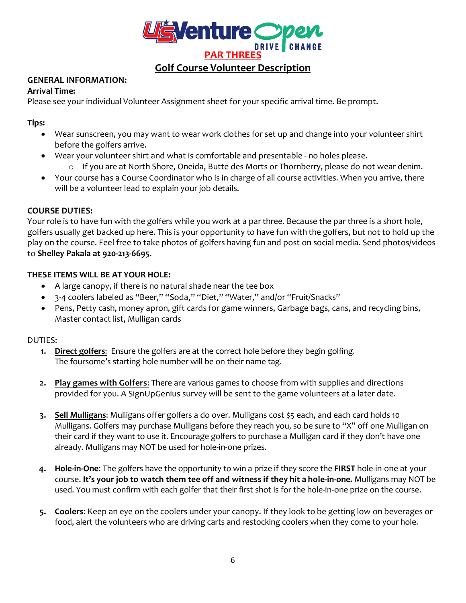

## **Golf Course Volunteer Description**

### **GENERAL INFORMATION:**

#### **Arrival Time:**

Please see your individual Volunteer Assignment sheet for your specific arrival time. Be prompt.

#### **Tips:**

- Wear sunscreen, you may want to wear work clothes for set up and change into your volunteer shirt before the golfers arrive.
- Wear your volunteer shirt and what is comfortable and presentable no holes please.
	- o If you are at North Shore, Oneida, Butte des Morts or Thornberry, please do not wear denim.
- Your course has a Course Coordinator who is in charge of all course activities. When you arrive, there will be a volunteer lead to explain your job details.

#### **COURSE DUTIES:**

Your role is to have fun with the golfers while you work at a par three. Because the par three is a short hole, golfers usually get backed up here. This is your opportunity to have fun with the golfers, but not to hold up the play on the course. Feel free to take photos of golfers having fun and post on social media. Send photos/videos to **Shelley Pakala at 920-213-6695**.

### **THESE ITEMS WILL BE AT YOUR HOLE:**

- A large canopy, if there is no natural shade near the tee box
- 3-4 coolers labeled as "Beer," "Soda," "Diet," "Water," and/or "Fruit/Snacks"
- Pens, Petty cash, money apron, gift cards for game winners, Garbage bags, cans, and recycling bins, Master contact list, Mulligan cards

#### DUTIES:

- **1. Direct golfers**: Ensure the golfers are at the correct hole before they begin golfing. The foursome's starting hole number will be on their name tag.
- **2. Play games with Golfers**: There are various games to choose from with supplies and directions provided for you. A SignUpGenius survey will be sent to the game volunteers at a later date.
- **3. Sell Mulligans**: Mulligans offer golfers a do over. Mulligans cost \$5 each, and each card holds 10 Mulligans. Golfers may purchase Mulligans before they reach you, so be sure to "X" off one Mulligan on their card if they want to use it. Encourage golfers to purchase a Mulligan card if they don't have one already. Mulligans may NOT be used for hole-in-one prizes.
- **4. Hole-in-One**: The golfers have the opportunity to win a prize if they score the **FIRST** hole-in-one at your course. **It's your job to watch them tee off and witness if they hit a hole-in-one.** Mulligans may NOT be used. You must confirm with each golfer that their first shot is for the hole-in-one prize on the course.
- **5. Coolers**: Keep an eye on the coolers under your canopy. If they look to be getting low on beverages or food, alert the volunteers who are driving carts and restocking coolers when they come to your hole.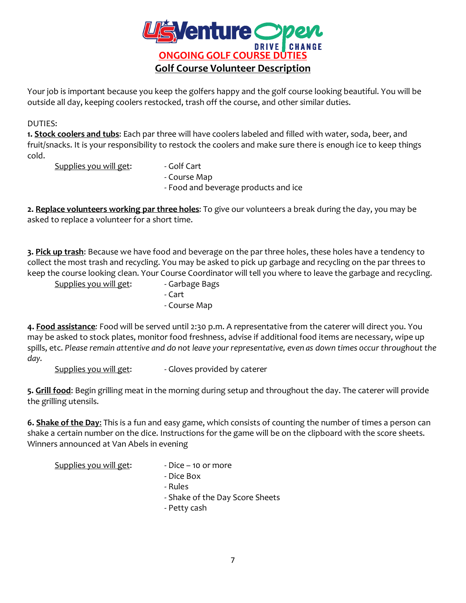

Your job is important because you keep the golfers happy and the golf course looking beautiful. You will be outside all day, keeping coolers restocked, trash off the course, and other similar duties.

### DUTIES:

**1. Stock coolers and tubs**: Each par three will have coolers labeled and filled with water, soda, beer, and fruit/snacks. It is your responsibility to restock the coolers and make sure there is enough ice to keep things cold.

Supplies you will get: - Golf Cart

- 
- Course Map

- Food and beverage products and ice

**2. Replace volunteers working par three holes**: To give our volunteers a break during the day, you may be asked to replace a volunteer for a short time.

**3. Pick up trash**: Because we have food and beverage on the par three holes, these holes have a tendency to collect the most trash and recycling. You may be asked to pick up garbage and recycling on the par threes to keep the course looking clean. Your Course Coordinator will tell you where to leave the garbage and recycling.

Supplies you will get: Carbage Bags

- 
- Cart
- Course Map

**4. Food assistance***:* Food will be served until 2:30 p.m. A representative from the caterer will direct you. You may be asked to stock plates, monitor food freshness, advise if additional food items are necessary, wipe up spills, etc. *Please remain attentive and do not leave your representative, even as down times occur throughout the day.*

Supplies you will get:  $\qquad \qquad$  - Gloves provided by caterer

**5. Grill food**: Begin grilling meat in the morning during setup and throughout the day. The caterer will provide the grilling utensils.

**6. Shake of the Day**: This is a fun and easy game, which consists of counting the number of times a person can shake a certain number on the dice. Instructions for the game will be on the clipboard with the score sheets. Winners announced at Van Abels in evening

Supplies you will get:  $\qquad \qquad$  - Dice – 10 or more

- Dice Box
- Rules
- Shake of the Day Score Sheets
- Petty cash